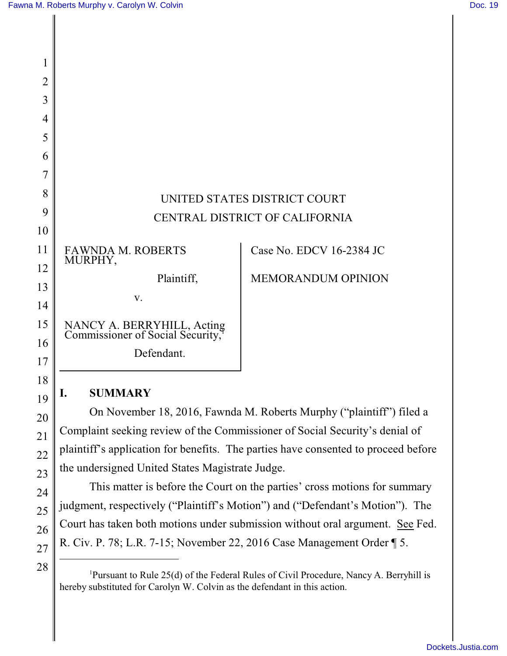| 1              |                                                                |                                |
|----------------|----------------------------------------------------------------|--------------------------------|
| $\overline{2}$ |                                                                |                                |
| 3              |                                                                |                                |
| 4              |                                                                |                                |
| 5              |                                                                |                                |
| 6              |                                                                |                                |
| 7              |                                                                |                                |
| 8              |                                                                | UNITED STATES DISTRICT COURT   |
| 9              |                                                                | CENTRAL DISTRICT OF CALIFORNIA |
| 10             |                                                                |                                |
| 11             | FAWNDA M. ROBERTS<br>MURPHY,                                   | Case No. EDCV 16-2384 JC       |
| 12             | Plaintiff,                                                     | <b>MEMORANDUM OPINION</b>      |
| 13             |                                                                |                                |
| 14             | V.                                                             |                                |
| 15             | NANCY A. BERRYHILL, Acting<br>Commissioner of Social Security, |                                |
| 16             | Defendant.                                                     |                                |
| 17             |                                                                |                                |

# **I. SUMMARY**

18

19

20

21

22

23

24

25

26

27

28

On November 18, 2016, Fawnda M. Roberts Murphy ("plaintiff") filed a Complaint seeking review of the Commissioner of Social Security's denial of plaintiff's application for benefits. The parties have consented to proceed before the undersigned United States Magistrate Judge.

This matter is before the Court on the parties' cross motions for summary judgment, respectively ("Plaintiff's Motion") and ("Defendant's Motion"). The Court has taken both motions under submission without oral argument. See Fed. R. Civ. P. 78; L.R. 7-15; November 22, 2016 Case Management Order ¶ 5.

<sup>&</sup>lt;sup>1</sup>Pursuant to Rule 25(d) of the Federal Rules of Civil Procedure, Nancy A. Berryhill is hereby substituted for Carolyn W. Colvin as the defendant in this action.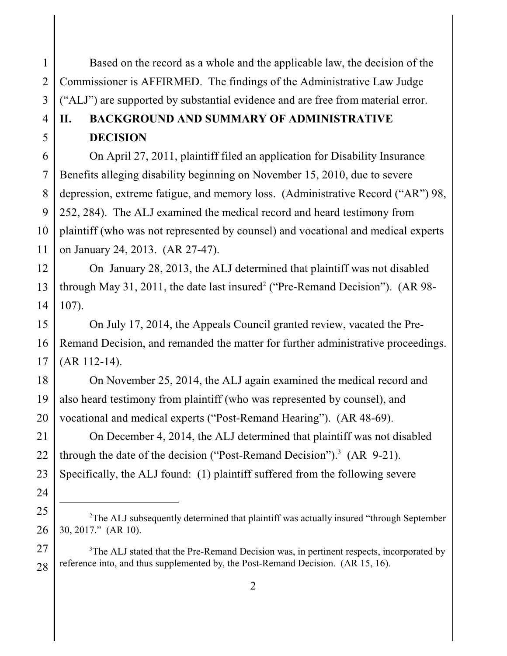Based on the record as a whole and the applicable law, the decision of the Commissioner is AFFIRMED. The findings of the Administrative Law Judge ("ALJ") are supported by substantial evidence and are free from material error.

#### 4 5 **II. BACKGROUND AND SUMMARY OF ADMINISTRATIVE DECISION**

1

2

3

24

6 7 8 9 10 11 On April 27, 2011, plaintiff filed an application for Disability Insurance Benefits alleging disability beginning on November 15, 2010, due to severe depression, extreme fatigue, and memory loss. (Administrative Record ("AR") 98, 252, 284). The ALJ examined the medical record and heard testimony from plaintiff (who was not represented by counsel) and vocational and medical experts on January 24, 2013. (AR 27-47).

12 13 14 On January 28, 2013, the ALJ determined that plaintiff was not disabled through May 31, 2011, the date last insured<sup>2</sup> ("Pre-Remand Decision"). (AR 98-107).

15 16 17 On July 17, 2014, the Appeals Council granted review, vacated the Pre-Remand Decision, and remanded the matter for further administrative proceedings. (AR 112-14).

18 19 20 On November 25, 2014, the ALJ again examined the medical record and also heard testimony from plaintiff (who was represented by counsel), and vocational and medical experts ("Post-Remand Hearing"). (AR 48-69).

21 22 23 On December 4, 2014, the ALJ determined that plaintiff was not disabled through the date of the decision ("Post-Remand Decision").<sup>3</sup> (AR 9-21). Specifically, the ALJ found: (1) plaintiff suffered from the following severe

27 28  $3$ The ALJ stated that the Pre-Remand Decision was, in pertinent respects, incorporated by reference into, and thus supplemented by, the Post-Remand Decision. (AR 15, 16).

2

<sup>25</sup> 26 <sup>2</sup>The ALJ subsequently determined that plaintiff was actually insured "through September" 30, 2017." (AR 10).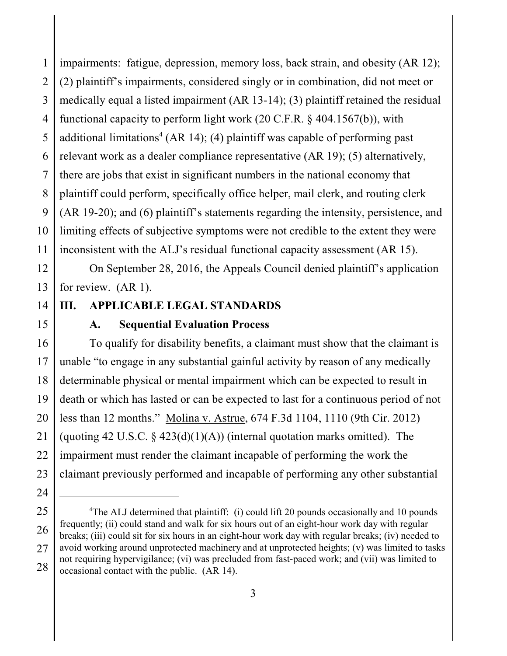1 2 3 4 5 6 7 8 9 10 11 impairments: fatigue, depression, memory loss, back strain, and obesity (AR 12); (2) plaintiff's impairments, considered singly or in combination, did not meet or medically equal a listed impairment (AR 13-14); (3) plaintiff retained the residual functional capacity to perform light work (20 C.F.R. § 404.1567(b)), with additional limitations<sup>4</sup> (AR 14); (4) plaintiff was capable of performing past relevant work as a dealer compliance representative (AR 19); (5) alternatively, there are jobs that exist in significant numbers in the national economy that plaintiff could perform, specifically office helper, mail clerk, and routing clerk (AR 19-20); and (6) plaintiff's statements regarding the intensity, persistence, and limiting effects of subjective symptoms were not credible to the extent they were inconsistent with the ALJ's residual functional capacity assessment (AR 15).

12 13 On September 28, 2016, the Appeals Council denied plaintiff's application for review. (AR 1).

# 14 15

24

### **A. Sequential Evaluation Process**

**III. APPLICABLE LEGAL STANDARDS**

16 17 18 19 20 21 22 23 To qualify for disability benefits, a claimant must show that the claimant is unable "to engage in any substantial gainful activity by reason of any medically determinable physical or mental impairment which can be expected to result in death or which has lasted or can be expected to last for a continuous period of not less than 12 months." Molina v. Astrue, 674 F.3d 1104, 1110 (9th Cir. 2012) (quoting 42 U.S.C.  $\S$  423(d)(1)(A)) (internal quotation marks omitted). The impairment must render the claimant incapable of performing the work the claimant previously performed and incapable of performing any other substantial

<sup>25</sup> 26 27 28 <sup>4</sup>The ALJ determined that plaintiff: (i) could lift 20 pounds occasionally and 10 pounds frequently; (ii) could stand and walk for six hours out of an eight-hour work day with regular breaks; (iii) could sit for six hours in an eight-hour work day with regular breaks; (iv) needed to avoid working around unprotected machinery and at unprotected heights; (v) was limited to tasks not requiring hypervigilance; (vi) was precluded from fast-paced work; and (vii) was limited to occasional contact with the public. (AR 14).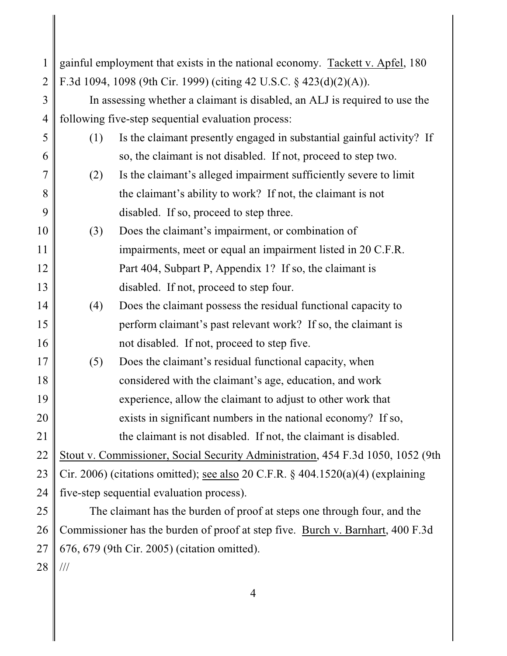| 1              | gainful employment that exists in the national economy. Tackett v. Apfel, 180   |                                                                                 |
|----------------|---------------------------------------------------------------------------------|---------------------------------------------------------------------------------|
|                |                                                                                 |                                                                                 |
| $\overline{2}$ | F.3d 1094, 1098 (9th Cir. 1999) (citing 42 U.S.C. § 423(d)(2)(A)).              |                                                                                 |
| 3              | In assessing whether a claimant is disabled, an ALJ is required to use the      |                                                                                 |
| $\overline{4}$ | following five-step sequential evaluation process:                              |                                                                                 |
| 5              | (1)                                                                             | Is the claimant presently engaged in substantial gainful activity? If           |
| 6              |                                                                                 | so, the claimant is not disabled. If not, proceed to step two.                  |
| $\overline{7}$ | (2)                                                                             | Is the claimant's alleged impairment sufficiently severe to limit               |
| 8              |                                                                                 | the claimant's ability to work? If not, the claimant is not                     |
| 9              |                                                                                 | disabled. If so, proceed to step three.                                         |
| 10             | (3)                                                                             | Does the claimant's impairment, or combination of                               |
| 11             |                                                                                 | impairments, meet or equal an impairment listed in 20 C.F.R.                    |
| 12             |                                                                                 | Part 404, Subpart P, Appendix 1? If so, the claimant is                         |
| 13             |                                                                                 | disabled. If not, proceed to step four.                                         |
| 14             | (4)                                                                             | Does the claimant possess the residual functional capacity to                   |
| 15             |                                                                                 | perform claimant's past relevant work? If so, the claimant is                   |
| 16             |                                                                                 | not disabled. If not, proceed to step five.                                     |
| 17             | (5)                                                                             | Does the claimant's residual functional capacity, when                          |
| 18             |                                                                                 | considered with the claimant's age, education, and work                         |
| 19             |                                                                                 | experience, allow the claimant to adjust to other work that                     |
| 20             |                                                                                 | exists in significant numbers in the national economy? If so,                   |
| 21             |                                                                                 | the claimant is not disabled. If not, the claimant is disabled.                 |
| 22             |                                                                                 | Stout v. Commissioner, Social Security Administration, 454 F.3d 1050, 1052 (9th |
| 23             | Cir. 2006) (citations omitted); see also 20 C.F.R. § 404.1520(a)(4) (explaining |                                                                                 |
| 24             | five-step sequential evaluation process).                                       |                                                                                 |
| 25             | The claimant has the burden of proof at steps one through four, and the         |                                                                                 |
| 26             | Commissioner has the burden of proof at step five. Burch v. Barnhart, 400 F.3d  |                                                                                 |
| 27             | 676, 679 (9th Cir. 2005) (citation omitted).                                    |                                                                                 |

28 ///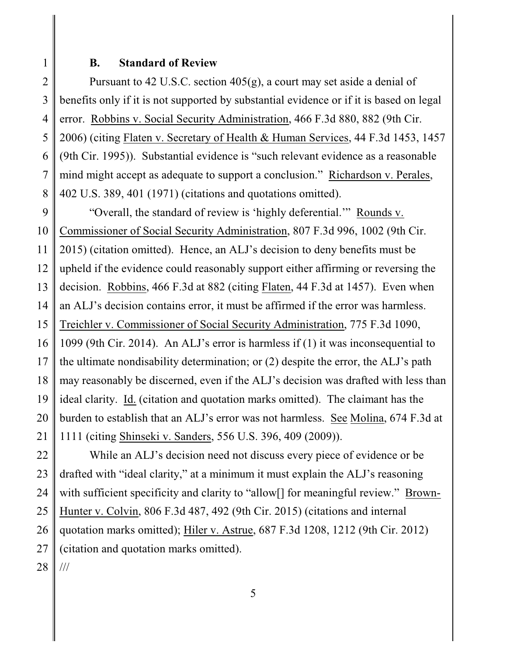1

#### **B. Standard of Review**

2 3 4 5 6 7 8 Pursuant to 42 U.S.C. section  $405(g)$ , a court may set aside a denial of benefits only if it is not supported by substantial evidence or if it is based on legal error. Robbins v. Social Security Administration, 466 F.3d 880, 882 (9th Cir. 2006) (citing Flaten v. Secretary of Health & Human Services, 44 F.3d 1453, 1457 (9th Cir. 1995)). Substantial evidence is "such relevant evidence as a reasonable mind might accept as adequate to support a conclusion." Richardson v. Perales, 402 U.S. 389, 401 (1971) (citations and quotations omitted).

9 10 "Overall, the standard of review is 'highly deferential.'" Rounds v. Commissioner of Social Security Administration, 807 F.3d 996, 1002 (9th Cir.

11 2015) (citation omitted). Hence, an ALJ's decision to deny benefits must be

12 upheld if the evidence could reasonably support either affirming or reversing the

13 decision. Robbins, 466 F.3d at 882 (citing Flaten, 44 F.3d at 1457). Even when

14 an ALJ's decision contains error, it must be affirmed if the error was harmless.

15 Treichler v. Commissioner of Social Security Administration, 775 F.3d 1090,

16 1099 (9th Cir. 2014). An ALJ's error is harmless if (1) it was inconsequential to

17 18 the ultimate nondisability determination; or (2) despite the error, the ALJ's path may reasonably be discerned, even if the ALJ's decision was drafted with less than

19 20 ideal clarity. Id. (citation and quotation marks omitted). The claimant has the burden to establish that an ALJ's error was not harmless. See Molina, 674 F.3d at

21 1111 (citing Shinseki v. Sanders, 556 U.S. 396, 409 (2009)).

22 23 24 25 26 27 While an ALJ's decision need not discuss every piece of evidence or be drafted with "ideal clarity," at a minimum it must explain the ALJ's reasoning with sufficient specificity and clarity to "allow<sup>[]</sup> for meaningful review." Brown-Hunter v. Colvin, 806 F.3d 487, 492 (9th Cir. 2015) (citations and internal quotation marks omitted); Hiler v. Astrue, 687 F.3d 1208, 1212 (9th Cir. 2012) (citation and quotation marks omitted).

28 ///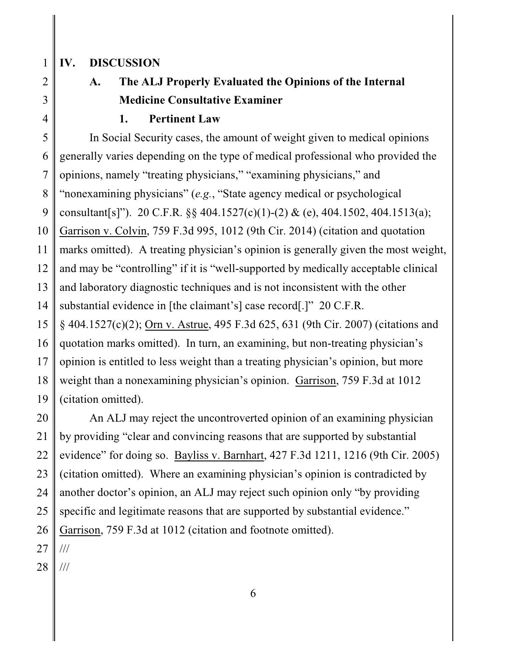### **IV. DISCUSSION**

2 3

4

1

# **A. The ALJ Properly Evaluated the Opinions of the Internal Medicine Consultative Examiner**

#### **1. Pertinent Law**

5 6 7 8 9 10 11 12 13 14 15 In Social Security cases, the amount of weight given to medical opinions generally varies depending on the type of medical professional who provided the opinions, namely "treating physicians," "examining physicians," and "nonexamining physicians" (*e.g.*, "State agency medical or psychological consultant[s]"). 20 C.F.R. §§ 404.1527(c)(1)-(2) & (e), 404.1502, 404.1513(a); Garrison v. Colvin, 759 F.3d 995, 1012 (9th Cir. 2014) (citation and quotation marks omitted). A treating physician's opinion is generally given the most weight, and may be "controlling" if it is "well-supported by medically acceptable clinical and laboratory diagnostic techniques and is not inconsistent with the other substantial evidence in [the claimant's] case record[.]" 20 C.F.R. § 404.1527(c)(2); Orn v. Astrue, 495 F.3d 625, 631 (9th Cir. 2007) (citations and

16 17 18 19 quotation marks omitted). In turn, an examining, but non-treating physician's opinion is entitled to less weight than a treating physician's opinion, but more weight than a nonexamining physician's opinion. Garrison, 759 F.3d at 1012 (citation omitted).

20 21 22 23 24 25 26 An ALJ may reject the uncontroverted opinion of an examining physician by providing "clear and convincing reasons that are supported by substantial evidence" for doing so. Bayliss v. Barnhart, 427 F.3d 1211, 1216 (9th Cir. 2005) (citation omitted). Where an examining physician's opinion is contradicted by another doctor's opinion, an ALJ may reject such opinion only "by providing specific and legitimate reasons that are supported by substantial evidence." Garrison, 759 F.3d at 1012 (citation and footnote omitted).

27 ///

28 ///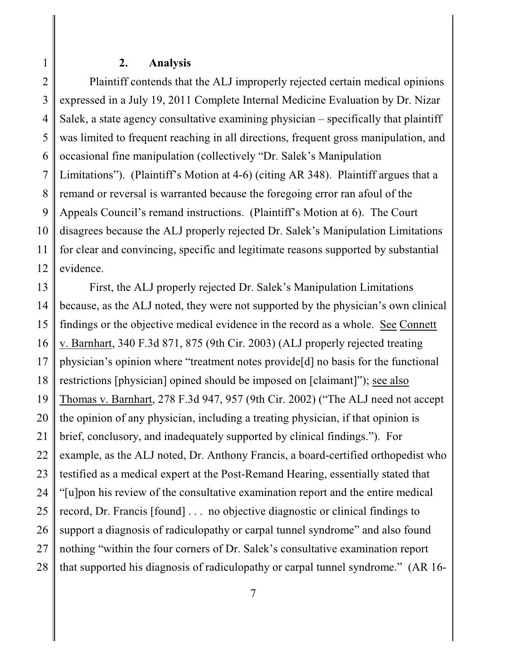## **2. Analysis**

1

2 3 4 5 6 7 8 9 10 11 12 Plaintiff contends that the ALJ improperly rejected certain medical opinions expressed in a July 19, 2011 Complete Internal Medicine Evaluation by Dr. Nizar Salek, a state agency consultative examining physician – specifically that plaintiff was limited to frequent reaching in all directions, frequent gross manipulation, and occasional fine manipulation (collectively "Dr. Salek's Manipulation Limitations"). (Plaintiff's Motion at 4-6) (citing AR 348). Plaintiff argues that a remand or reversal is warranted because the foregoing error ran afoul of the Appeals Council's remand instructions. (Plaintiff's Motion at 6). The Court disagrees because the ALJ properly rejected Dr. Salek's Manipulation Limitations for clear and convincing, specific and legitimate reasons supported by substantial evidence.

13 14 15 16 17 18 19 20 21 22 23 24 25 26 27 28 First, the ALJ properly rejected Dr. Salek's Manipulation Limitations because, as the ALJ noted, they were not supported by the physician's own clinical findings or the objective medical evidence in the record as a whole. See Connett v. Barnhart, 340 F.3d 871, 875 (9th Cir. 2003) (ALJ properly rejected treating physician's opinion where "treatment notes provide[d] no basis for the functional restrictions [physician] opined should be imposed on [claimant]"); see also Thomas v. Barnhart, 278 F.3d 947, 957 (9th Cir. 2002) ("The ALJ need not accept the opinion of any physician, including a treating physician, if that opinion is brief, conclusory, and inadequately supported by clinical findings."). For example, as the ALJ noted, Dr. Anthony Francis, a board-certified orthopedist who testified as a medical expert at the Post-Remand Hearing, essentially stated that "[u]pon his review of the consultative examination report and the entire medical record, Dr. Francis [found] . . . no objective diagnostic or clinical findings to support a diagnosis of radiculopathy or carpal tunnel syndrome" and also found nothing "within the four corners of Dr. Salek's consultative examination report that supported his diagnosis of radiculopathy or carpal tunnel syndrome." (AR 16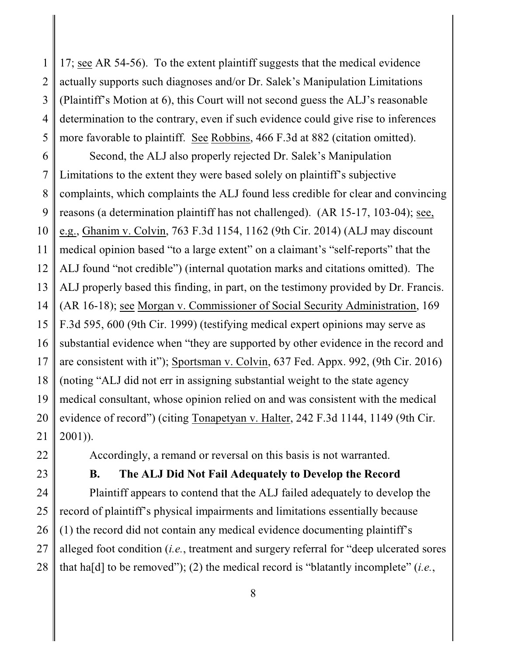1 2 3 4 5 17; see AR 54-56). To the extent plaintiff suggests that the medical evidence actually supports such diagnoses and/or Dr. Salek's Manipulation Limitations (Plaintiff's Motion at 6), this Court will not second guess the ALJ's reasonable determination to the contrary, even if such evidence could give rise to inferences more favorable to plaintiff. See Robbins, 466 F.3d at 882 (citation omitted).

6 7 8 9 10 11 12 13 14 15 16 17 18 19 20 21 Second, the ALJ also properly rejected Dr. Salek's Manipulation Limitations to the extent they were based solely on plaintiff's subjective complaints, which complaints the ALJ found less credible for clear and convincing reasons (a determination plaintiff has not challenged). (AR 15-17, 103-04); see, e.g., Ghanim v. Colvin, 763 F.3d 1154, 1162 (9th Cir. 2014) (ALJ may discount medical opinion based "to a large extent" on a claimant's "self-reports" that the ALJ found "not credible") (internal quotation marks and citations omitted). The ALJ properly based this finding, in part, on the testimony provided by Dr. Francis. (AR 16-18); see Morgan v. Commissioner of Social Security Administration, 169 F.3d 595, 600 (9th Cir. 1999) (testifying medical expert opinions may serve as substantial evidence when "they are supported by other evidence in the record and are consistent with it"); Sportsman v. Colvin, 637 Fed. Appx. 992, (9th Cir. 2016) (noting "ALJ did not err in assigning substantial weight to the state agency medical consultant, whose opinion relied on and was consistent with the medical evidence of record") (citing Tonapetyan v. Halter, 242 F.3d 1144, 1149 (9th Cir. 2001)).

22

23

### **B. The ALJ Did Not Fail Adequately to Develop the Record**

Accordingly, a remand or reversal on this basis is not warranted.

24 25 26 27 28 Plaintiff appears to contend that the ALJ failed adequately to develop the record of plaintiff's physical impairments and limitations essentially because (1) the record did not contain any medical evidence documenting plaintiff's alleged foot condition (*i.e.*, treatment and surgery referral for "deep ulcerated sores that ha[d] to be removed"); (2) the medical record is "blatantly incomplete" (*i.e.*,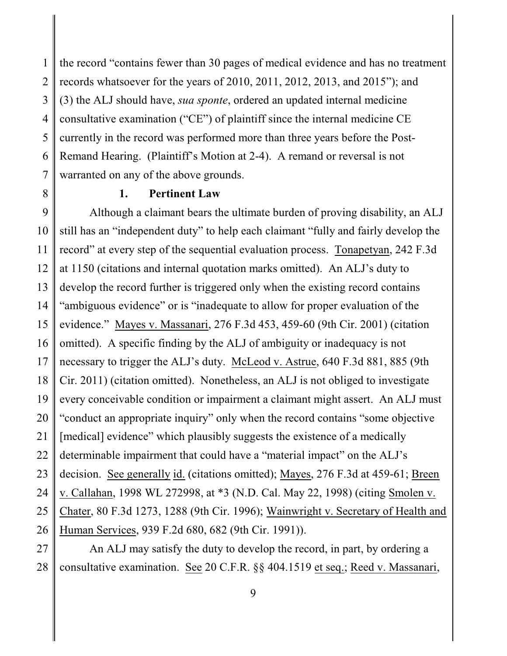1 2 3 4 5 6 7 the record "contains fewer than 30 pages of medical evidence and has no treatment records whatsoever for the years of 2010, 2011, 2012, 2013, and 2015"); and (3) the ALJ should have, *sua sponte*, ordered an updated internal medicine consultative examination ("CE") of plaintiff since the internal medicine CE currently in the record was performed more than three years before the Post-Remand Hearing. (Plaintiff's Motion at 2-4). A remand or reversal is not warranted on any of the above grounds.

8

# **1. Pertinent Law**

9 10 11 12 13 14 15 16 17 18 19 20 21 22 23 24 25 26 Although a claimant bears the ultimate burden of proving disability, an ALJ still has an "independent duty" to help each claimant "fully and fairly develop the record" at every step of the sequential evaluation process. Tonapetyan, 242 F.3d at 1150 (citations and internal quotation marks omitted). An ALJ's duty to develop the record further is triggered only when the existing record contains "ambiguous evidence" or is "inadequate to allow for proper evaluation of the evidence." Mayes v. Massanari, 276 F.3d 453, 459-60 (9th Cir. 2001) (citation omitted). A specific finding by the ALJ of ambiguity or inadequacy is not necessary to trigger the ALJ's duty. McLeod v. Astrue, 640 F.3d 881, 885 (9th Cir. 2011) (citation omitted). Nonetheless, an ALJ is not obliged to investigate every conceivable condition or impairment a claimant might assert. An ALJ must "conduct an appropriate inquiry" only when the record contains "some objective [medical] evidence" which plausibly suggests the existence of a medically determinable impairment that could have a "material impact" on the ALJ's decision. See generally id. (citations omitted); Mayes, 276 F.3d at 459-61; Breen v. Callahan, 1998 WL 272998, at \*3 (N.D. Cal. May 22, 1998) (citing Smolen v. Chater, 80 F.3d 1273, 1288 (9th Cir. 1996); Wainwright v. Secretary of Health and Human Services, 939 F.2d 680, 682 (9th Cir. 1991)).

27 28 An ALJ may satisfy the duty to develop the record, in part, by ordering a consultative examination. See 20 C.F.R. §§ 404.1519 et seq.; Reed v. Massanari,

9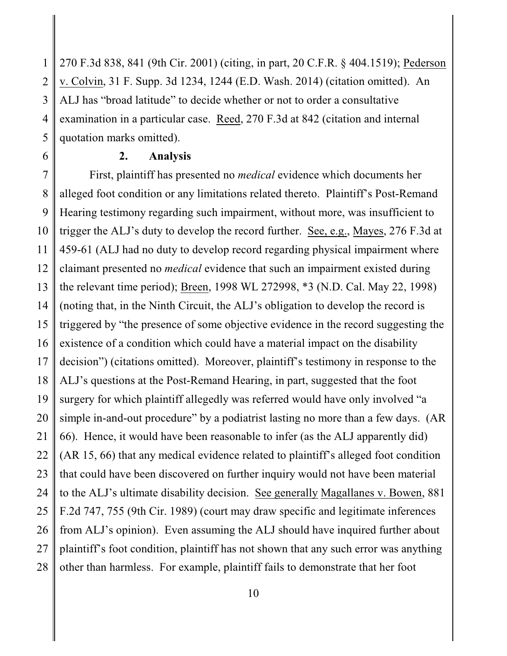1 2 3 4 5 270 F.3d 838, 841 (9th Cir. 2001) (citing, in part, 20 C.F.R. § 404.1519); Pederson v. Colvin, 31 F. Supp. 3d 1234, 1244 (E.D. Wash. 2014) (citation omitted). An ALJ has "broad latitude" to decide whether or not to order a consultative examination in a particular case. Reed, 270 F.3d at 842 (citation and internal quotation marks omitted).

6

# **2. Analysis**

7 8 9 10 11 12 13 14 15 16 17 18 19 20 21 22 23 24 25 26 27 28 First, plaintiff has presented no *medical* evidence which documents her alleged foot condition or any limitations related thereto. Plaintiff's Post-Remand Hearing testimony regarding such impairment, without more, was insufficient to trigger the ALJ's duty to develop the record further. See, e.g., Mayes, 276 F.3d at 459-61 (ALJ had no duty to develop record regarding physical impairment where claimant presented no *medical* evidence that such an impairment existed during the relevant time period); Breen, 1998 WL 272998, \*3 (N.D. Cal. May 22, 1998) (noting that, in the Ninth Circuit, the ALJ's obligation to develop the record is triggered by "the presence of some objective evidence in the record suggesting the existence of a condition which could have a material impact on the disability decision") (citations omitted). Moreover, plaintiff's testimony in response to the ALJ's questions at the Post-Remand Hearing, in part, suggested that the foot surgery for which plaintiff allegedly was referred would have only involved "a simple in-and-out procedure" by a podiatrist lasting no more than a few days. (AR 66). Hence, it would have been reasonable to infer (as the ALJ apparently did) (AR 15, 66) that any medical evidence related to plaintiff's alleged foot condition that could have been discovered on further inquiry would not have been material to the ALJ's ultimate disability decision. See generally Magallanes v. Bowen, 881 F.2d 747, 755 (9th Cir. 1989) (court may draw specific and legitimate inferences from ALJ's opinion). Even assuming the ALJ should have inquired further about plaintiff's foot condition, plaintiff has not shown that any such error was anything other than harmless. For example, plaintiff fails to demonstrate that her foot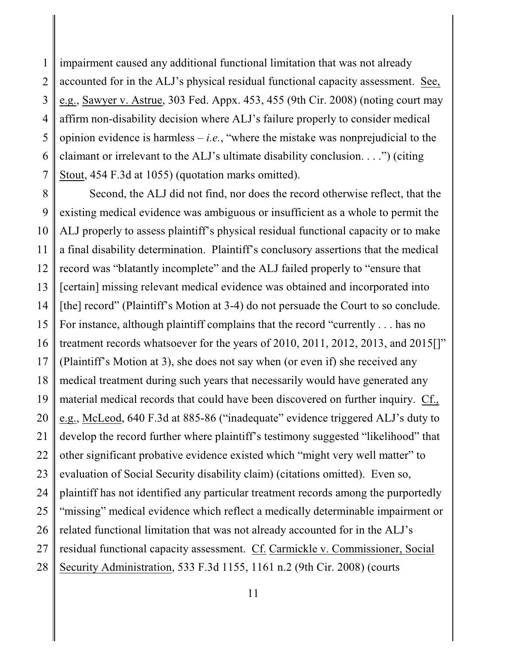1 2 3 4 5 6 7 impairment caused any additional functional limitation that was not already accounted for in the ALJ's physical residual functional capacity assessment. See, e.g., Sawyer v. Astrue, 303 Fed. Appx. 453, 455 (9th Cir. 2008) (noting court may affirm non-disability decision where ALJ's failure properly to consider medical opinion evidence is harmless  $-i.e.,$  "where the mistake was nonprejudicial to the claimant or irrelevant to the ALJ's ultimate disability conclusion. . . .") (citing Stout, 454 F.3d at 1055) (quotation marks omitted).

8 9 10 11 12 13 14 15 16 17 18 19 20 21 22 23 24 25 26 27 28 Second, the ALJ did not find, nor does the record otherwise reflect, that the existing medical evidence was ambiguous or insufficient as a whole to permit the ALJ properly to assess plaintiff's physical residual functional capacity or to make a final disability determination. Plaintiff's conclusory assertions that the medical record was "blatantly incomplete" and the ALJ failed properly to "ensure that [certain] missing relevant medical evidence was obtained and incorporated into [the] record" (Plaintiff's Motion at 3-4) do not persuade the Court to so conclude. For instance, although plaintiff complains that the record "currently . . . has no treatment records whatsoever for the years of 2010, 2011, 2012, 2013, and 2015<sup>[1]</sup>" (Plaintiff's Motion at 3), she does not say when (or even if) she received any medical treatment during such years that necessarily would have generated any material medical records that could have been discovered on further inquiry. Cf., e.g., McLeod, 640 F.3d at 885-86 ("inadequate" evidence triggered ALJ's duty to develop the record further where plaintiff's testimony suggested "likelihood" that other significant probative evidence existed which "might very well matter" to evaluation of Social Security disability claim) (citations omitted). Even so, plaintiff has not identified any particular treatment records among the purportedly "missing" medical evidence which reflect a medically determinable impairment or related functional limitation that was not already accounted for in the ALJ's residual functional capacity assessment. Cf. Carmickle v. Commissioner, Social Security Administration, 533 F.3d 1155, 1161 n.2 (9th Cir. 2008) (courts